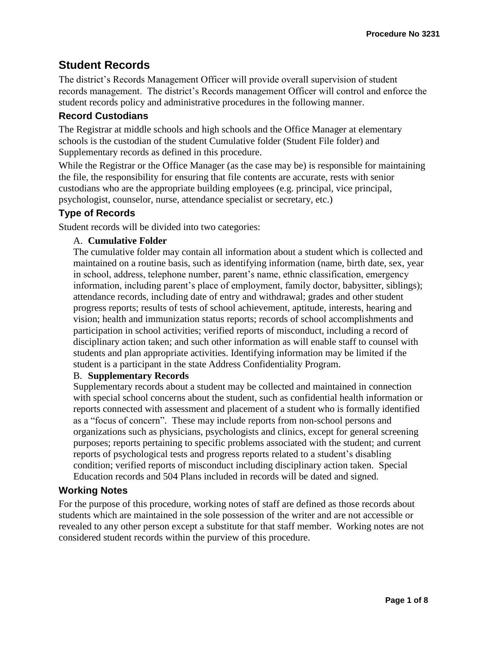# **Student Records**

The district's Records Management Officer will provide overall supervision of student records management. The district's Records management Officer will control and enforce the student records policy and administrative procedures in the following manner.

## **Record Custodians**

The Registrar at middle schools and high schools and the Office Manager at elementary schools is the custodian of the student Cumulative folder (Student File folder) and Supplementary records as defined in this procedure.

While the Registrar or the Office Manager (as the case may be) is responsible for maintaining the file, the responsibility for ensuring that file contents are accurate, rests with senior custodians who are the appropriate building employees (e.g. principal, vice principal, psychologist, counselor, nurse, attendance specialist or secretary, etc.)

## **Type of Records**

Student records will be divided into two categories:

### A. **Cumulative Folder**

The cumulative folder may contain all information about a student which is collected and maintained on a routine basis, such as identifying information (name, birth date, sex, year in school, address, telephone number, parent's name, ethnic classification, emergency information, including parent's place of employment, family doctor, babysitter, siblings); attendance records, including date of entry and withdrawal; grades and other student progress reports; results of tests of school achievement, aptitude, interests, hearing and vision; health and immunization status reports; records of school accomplishments and participation in school activities; verified reports of misconduct, including a record of disciplinary action taken; and such other information as will enable staff to counsel with students and plan appropriate activities. Identifying information may be limited if the student is a participant in the state Address Confidentiality Program.

### B. **Supplementary Records**

Supplementary records about a student may be collected and maintained in connection with special school concerns about the student, such as confidential health information or reports connected with assessment and placement of a student who is formally identified as a "focus of concern". These may include reports from non-school persons and organizations such as physicians, psychologists and clinics, except for general screening purposes; reports pertaining to specific problems associated with the student; and current reports of psychological tests and progress reports related to a student's disabling condition; verified reports of misconduct including disciplinary action taken. Special Education records and 504 Plans included in records will be dated and signed.

### **Working Notes**

For the purpose of this procedure, working notes of staff are defined as those records about students which are maintained in the sole possession of the writer and are not accessible or revealed to any other person except a substitute for that staff member. Working notes are not considered student records within the purview of this procedure.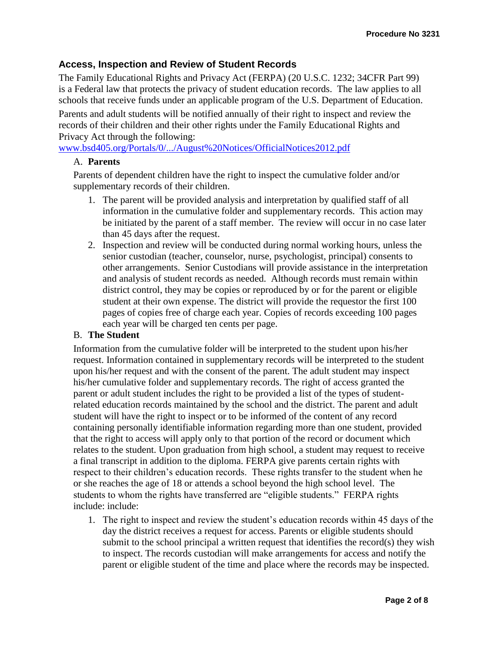## **Access, Inspection and Review of Student Records**

The Family Educational Rights and Privacy Act (FERPA) (20 U.S.C. 1232; 34CFR Part 99) is a Federal law that protects the privacy of student education records. The law applies to all schools that receive funds under an applicable program of the U.S. Department of Education.

Parents and adult students will be notified annually of their right to inspect and review the records of their children and their other rights under the Family Educational Rights and Privacy Act through the following:

[www.bsd405.org/Portals/0/.../August%20Notices/OfficialNotices2012.pdf](http://www.bsd405.org/Portals/0/.../August%20Notices/OfficialNotices2012.pdf)

#### A. **Parents**

Parents of dependent children have the right to inspect the cumulative folder and/or supplementary records of their children.

- 1. The parent will be provided analysis and interpretation by qualified staff of all information in the cumulative folder and supplementary records. This action may be initiated by the parent of a staff member. The review will occur in no case later than 45 days after the request.
- 2. Inspection and review will be conducted during normal working hours, unless the senior custodian (teacher, counselor, nurse, psychologist, principal) consents to other arrangements. Senior Custodians will provide assistance in the interpretation and analysis of student records as needed. Although records must remain within district control, they may be copies or reproduced by or for the parent or eligible student at their own expense. The district will provide the requestor the first 100 pages of copies free of charge each year. Copies of records exceeding 100 pages each year will be charged ten cents per page.

### B. **The Student**

Information from the cumulative folder will be interpreted to the student upon his/her request. Information contained in supplementary records will be interpreted to the student upon his/her request and with the consent of the parent. The adult student may inspect his/her cumulative folder and supplementary records. The right of access granted the parent or adult student includes the right to be provided a list of the types of studentrelated education records maintained by the school and the district. The parent and adult student will have the right to inspect or to be informed of the content of any record containing personally identifiable information regarding more than one student, provided that the right to access will apply only to that portion of the record or document which relates to the student. Upon graduation from high school, a student may request to receive a final transcript in addition to the diploma. FERPA give parents certain rights with respect to their children's education records. These rights transfer to the student when he or she reaches the age of 18 or attends a school beyond the high school level. The students to whom the rights have transferred are "eligible students." FERPA rights include: include:

1. The right to inspect and review the student's education records within 45 days of the day the district receives a request for access. Parents or eligible students should submit to the school principal a written request that identifies the record(s) they wish to inspect. The records custodian will make arrangements for access and notify the parent or eligible student of the time and place where the records may be inspected.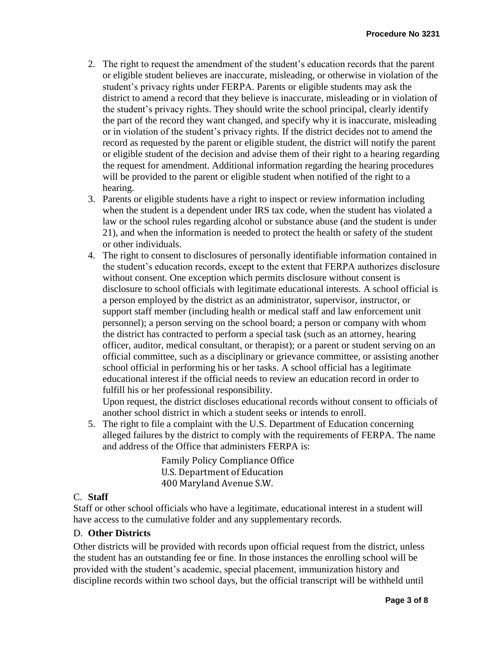- 2. The right to request the amendment of the student's education records that the parent or eligible student believes are inaccurate, misleading, or otherwise in violation of the student's privacy rights under FERPA. Parents or eligible students may ask the district to amend a record that they believe is inaccurate, misleading or in violation of the student's privacy rights. They should write the school principal, clearly identify the part of the record they want changed, and specify why it is inaccurate, misleading or in violation of the student's privacy rights. If the district decides not to amend the record as requested by the parent or eligible student, the district will notify the parent or eligible student of the decision and advise them of their right to a hearing regarding the request for amendment. Additional information regarding the hearing procedures will be provided to the parent or eligible student when notified of the right to a hearing.
- 3. Parents or eligible students have a right to inspect or review information including when the student is a dependent under IRS tax code, when the student has violated a law or the school rules regarding alcohol or substance abuse (and the student is under 21), and when the information is needed to protect the health or safety of the student or other individuals.
- 4. The right to consent to disclosures of personally identifiable information contained in the student's education records, except to the extent that FERPA authorizes disclosure without consent. One exception which permits disclosure without consent is disclosure to school officials with legitimate educational interests. A school official is a person employed by the district as an administrator, supervisor, instructor, or support staff member (including health or medical staff and law enforcement unit personnel); a person serving on the school board; a person or company with whom the district has contracted to perform a special task (such as an attorney, hearing officer, auditor, medical consultant, or therapist); or a parent or student serving on an official committee, such as a disciplinary or grievance committee, or assisting another school official in performing his or her tasks. A school official has a legitimate educational interest if the official needs to review an education record in order to fulfill his or her professional responsibility.

Upon request, the district discloses educational records without consent to officials of another school district in which a student seeks or intends to enroll.

5. The right to file a complaint with the U.S. Department of Education concerning alleged failures by the district to comply with the requirements of FERPA. The name and address of the Office that administers FERPA is:

> Family Policy Compliance Office U.S. Department of Education 400 Maryland Avenue S.W.

### C. **Staff**

Staff or other school officials who have a legitimate, educational interest in a student will have access to the cumulative folder and any supplementary records.

## D. **Other Districts**

Other districts will be provided with records upon official request from the district, unless the student has an outstanding fee or fine. In those instances the enrolling school will be provided with the student's academic, special placement, immunization history and discipline records within two school days, but the official transcript will be withheld until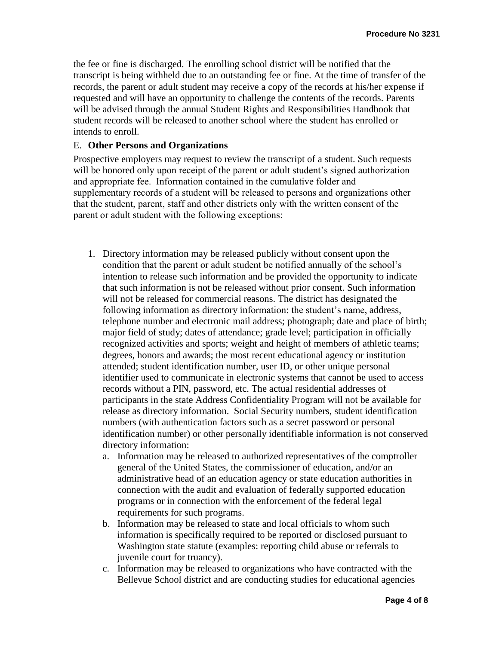the fee or fine is discharged. The enrolling school district will be notified that the transcript is being withheld due to an outstanding fee or fine. At the time of transfer of the records, the parent or adult student may receive a copy of the records at his/her expense if requested and will have an opportunity to challenge the contents of the records. Parents will be advised through the annual Student Rights and Responsibilities Handbook that student records will be released to another school where the student has enrolled or intends to enroll.

#### E. **Other Persons and Organizations**

Prospective employers may request to review the transcript of a student. Such requests will be honored only upon receipt of the parent or adult student's signed authorization and appropriate fee. Information contained in the cumulative folder and supplementary records of a student will be released to persons and organizations other that the student, parent, staff and other districts only with the written consent of the parent or adult student with the following exceptions:

- 1. Directory information may be released publicly without consent upon the condition that the parent or adult student be notified annually of the school's intention to release such information and be provided the opportunity to indicate that such information is not be released without prior consent. Such information will not be released for commercial reasons. The district has designated the following information as directory information: the student's name, address, telephone number and electronic mail address; photograph; date and place of birth; major field of study; dates of attendance; grade level; participation in officially recognized activities and sports; weight and height of members of athletic teams; degrees, honors and awards; the most recent educational agency or institution attended; student identification number, user ID, or other unique personal identifier used to communicate in electronic systems that cannot be used to access records without a PIN, password, etc. The actual residential addresses of participants in the state Address Confidentiality Program will not be available for release as directory information. Social Security numbers, student identification numbers (with authentication factors such as a secret password or personal identification number) or other personally identifiable information is not conserved directory information:
	- a. Information may be released to authorized representatives of the comptroller general of the United States, the commissioner of education, and/or an administrative head of an education agency or state education authorities in connection with the audit and evaluation of federally supported education programs or in connection with the enforcement of the federal legal requirements for such programs.
	- b. Information may be released to state and local officials to whom such information is specifically required to be reported or disclosed pursuant to Washington state statute (examples: reporting child abuse or referrals to juvenile court for truancy).
	- c. Information may be released to organizations who have contracted with the Bellevue School district and are conducting studies for educational agencies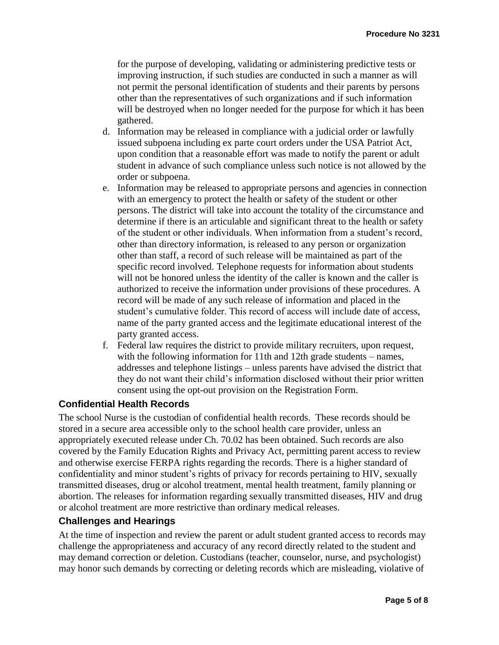for the purpose of developing, validating or administering predictive tests or improving instruction, if such studies are conducted in such a manner as will not permit the personal identification of students and their parents by persons other than the representatives of such organizations and if such information will be destroyed when no longer needed for the purpose for which it has been gathered.

- d. Information may be released in compliance with a judicial order or lawfully issued subpoena including ex parte court orders under the USA Patriot Act, upon condition that a reasonable effort was made to notify the parent or adult student in advance of such compliance unless such notice is not allowed by the order or subpoena.
- e. Information may be released to appropriate persons and agencies in connection with an emergency to protect the health or safety of the student or other persons. The district will take into account the totality of the circumstance and determine if there is an articulable and significant threat to the health or safety of the student or other individuals. When information from a student's record, other than directory information, is released to any person or organization other than staff, a record of such release will be maintained as part of the specific record involved. Telephone requests for information about students will not be honored unless the identity of the caller is known and the caller is authorized to receive the information under provisions of these procedures. A record will be made of any such release of information and placed in the student's cumulative folder. This record of access will include date of access, name of the party granted access and the legitimate educational interest of the party granted access.
- f. Federal law requires the district to provide military recruiters, upon request, with the following information for 11th and 12th grade students – names, addresses and telephone listings – unless parents have advised the district that they do not want their child's information disclosed without their prior written consent using the opt-out provision on the Registration Form.

### **Confidential Health Records**

The school Nurse is the custodian of confidential health records. These records should be stored in a secure area accessible only to the school health care provider, unless an appropriately executed release under Ch. 70.02 has been obtained. Such records are also covered by the Family Education Rights and Privacy Act, permitting parent access to review and otherwise exercise FERPA rights regarding the records. There is a higher standard of confidentiality and minor student's rights of privacy for records pertaining to HIV, sexually transmitted diseases, drug or alcohol treatment, mental health treatment, family planning or abortion. The releases for information regarding sexually transmitted diseases, HIV and drug or alcohol treatment are more restrictive than ordinary medical releases.

#### **Challenges and Hearings**

At the time of inspection and review the parent or adult student granted access to records may challenge the appropriateness and accuracy of any record directly related to the student and may demand correction or deletion. Custodians (teacher, counselor, nurse, and psychologist) may honor such demands by correcting or deleting records which are misleading, violative of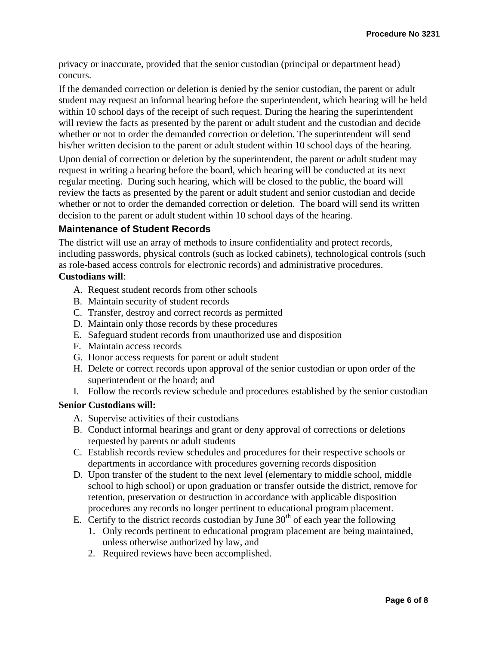privacy or inaccurate, provided that the senior custodian (principal or department head) concurs.

If the demanded correction or deletion is denied by the senior custodian, the parent or adult student may request an informal hearing before the superintendent, which hearing will be held within 10 school days of the receipt of such request. During the hearing the superintendent will review the facts as presented by the parent or adult student and the custodian and decide whether or not to order the demanded correction or deletion. The superintendent will send his/her written decision to the parent or adult student within 10 school days of the hearing.

Upon denial of correction or deletion by the superintendent, the parent or adult student may request in writing a hearing before the board, which hearing will be conducted at its next regular meeting. During such hearing, which will be closed to the public, the board will review the facts as presented by the parent or adult student and senior custodian and decide whether or not to order the demanded correction or deletion. The board will send its written decision to the parent or adult student within 10 school days of the hearing.

## **Maintenance of Student Records**

The district will use an array of methods to insure confidentiality and protect records, including passwords, physical controls (such as locked cabinets), technological controls (such as role-based access controls for electronic records) and administrative procedures.

#### **Custodians will**:

- A. Request student records from other schools
- B. Maintain security of student records
- C. Transfer, destroy and correct records as permitted
- D. Maintain only those records by these procedures
- E. Safeguard student records from unauthorized use and disposition
- F. Maintain access records
- G. Honor access requests for parent or adult student
- H. Delete or correct records upon approval of the senior custodian or upon order of the superintendent or the board; and
- I. Follow the records review schedule and procedures established by the senior custodian

### **Senior Custodians will:**

- A. Supervise activities of their custodians
- B. Conduct informal hearings and grant or deny approval of corrections or deletions requested by parents or adult students
- C. Establish records review schedules and procedures for their respective schools or departments in accordance with procedures governing records disposition
- D. Upon transfer of the student to the next level (elementary to middle school, middle school to high school) or upon graduation or transfer outside the district, remove for retention, preservation or destruction in accordance with applicable disposition procedures any records no longer pertinent to educational program placement.
- E. Certify to the district records custodian by June  $30<sup>th</sup>$  of each year the following
	- 1. Only records pertinent to educational program placement are being maintained, unless otherwise authorized by law, and
	- 2. Required reviews have been accomplished.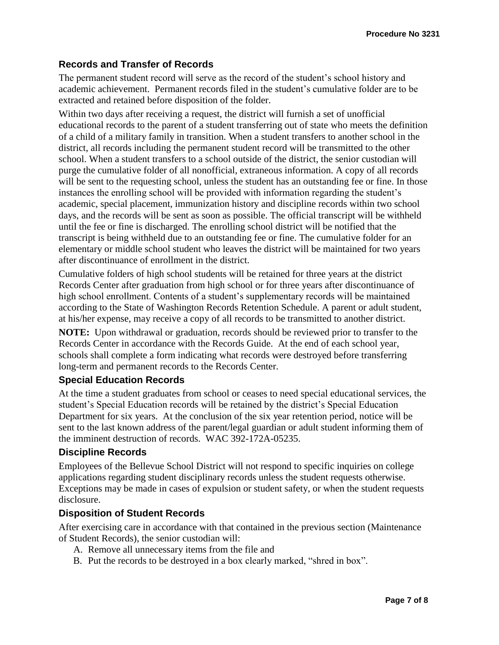### **Records and Transfer of Records**

The permanent student record will serve as the record of the student's school history and academic achievement. Permanent records filed in the student's cumulative folder are to be extracted and retained before disposition of the folder.

Within two days after receiving a request, the district will furnish a set of unofficial educational records to the parent of a student transferring out of state who meets the definition of a child of a military family in transition. When a student transfers to another school in the district, all records including the permanent student record will be transmitted to the other school. When a student transfers to a school outside of the district, the senior custodian will purge the cumulative folder of all nonofficial, extraneous information. A copy of all records will be sent to the requesting school, unless the student has an outstanding fee or fine. In those instances the enrolling school will be provided with information regarding the student's academic, special placement, immunization history and discipline records within two school days, and the records will be sent as soon as possible. The official transcript will be withheld until the fee or fine is discharged. The enrolling school district will be notified that the transcript is being withheld due to an outstanding fee or fine. The cumulative folder for an elementary or middle school student who leaves the district will be maintained for two years after discontinuance of enrollment in the district.

Cumulative folders of high school students will be retained for three years at the district Records Center after graduation from high school or for three years after discontinuance of high school enrollment. Contents of a student's supplementary records will be maintained according to the State of Washington Records Retention Schedule. A parent or adult student, at his/her expense, may receive a copy of all records to be transmitted to another district.

**NOTE:** Upon withdrawal or graduation, records should be reviewed prior to transfer to the Records Center in accordance with the Records Guide. At the end of each school year, schools shall complete a form indicating what records were destroyed before transferring long-term and permanent records to the Records Center.

### **Special Education Records**

At the time a student graduates from school or ceases to need special educational services, the student's Special Education records will be retained by the district's Special Education Department for six years. At the conclusion of the six year retention period, notice will be sent to the last known address of the parent/legal guardian or adult student informing them of the imminent destruction of records. WAC 392-172A-05235.

#### **Discipline Records**

Employees of the Bellevue School District will not respond to specific inquiries on college applications regarding student disciplinary records unless the student requests otherwise. Exceptions may be made in cases of expulsion or student safety, or when the student requests disclosure.

#### **Disposition of Student Records**

After exercising care in accordance with that contained in the previous section (Maintenance of Student Records), the senior custodian will:

- A. Remove all unnecessary items from the file and
- B. Put the records to be destroyed in a box clearly marked, "shred in box".